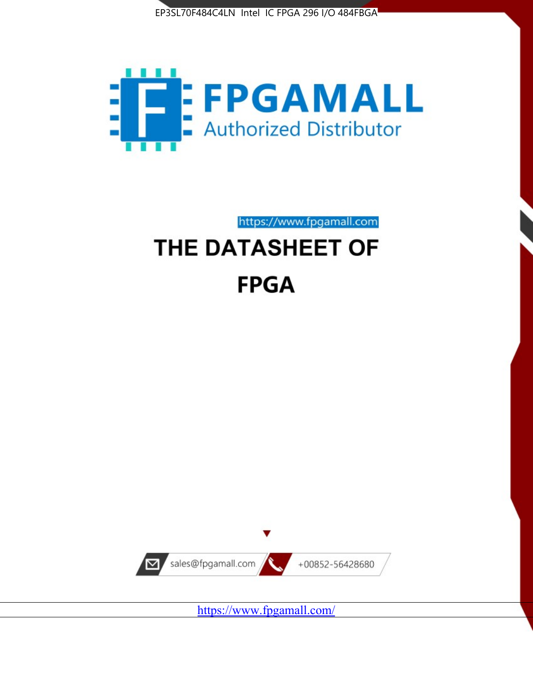



## https://www.fpgamall.com THE DATASHEET OF

# **FPGA**



<https://www.fpgamall.com/>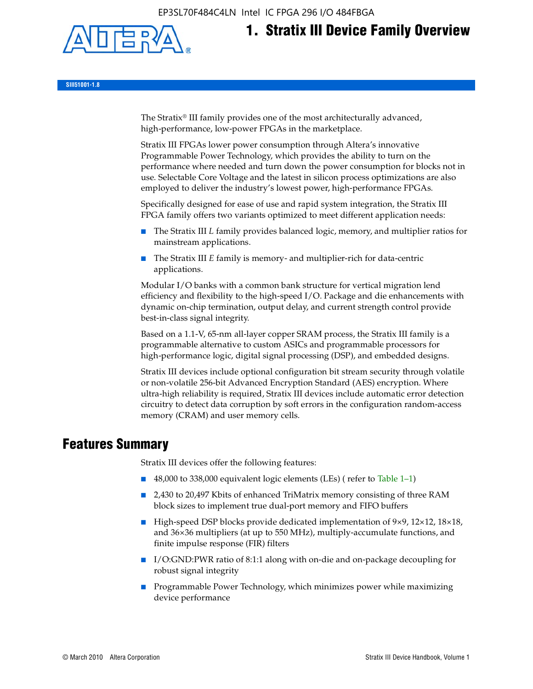

## **1. Stratix III Device Family Overview**

**SIII51001-1.8**

The Stratix® III family provides one of the most architecturally advanced, high-performance, low-power FPGAs in the marketplace.

Stratix III FPGAs lower power consumption through Altera's innovative Programmable Power Technology, which provides the ability to turn on the performance where needed and turn down the power consumption for blocks not in use. Selectable Core Voltage and the latest in silicon process optimizations are also employed to deliver the industry's lowest power, high-performance FPGAs.

Specifically designed for ease of use and rapid system integration, the Stratix III FPGA family offers two variants optimized to meet different application needs:

- The Stratix III *L* family provides balanced logic, memory, and multiplier ratios for mainstream applications.
- The Stratix III *E* family is memory- and multiplier-rich for data-centric applications.

Modular I/O banks with a common bank structure for vertical migration lend efficiency and flexibility to the high-speed I/O. Package and die enhancements with dynamic on-chip termination, output delay, and current strength control provide best-in-class signal integrity.

Based on a 1.1-V, 65-nm all-layer copper SRAM process, the Stratix III family is a programmable alternative to custom ASICs and programmable processors for high-performance logic, digital signal processing (DSP), and embedded designs.

Stratix III devices include optional configuration bit stream security through volatile or non-volatile 256-bit Advanced Encryption Standard (AES) encryption. Where ultra-high reliability is required, Stratix III devices include automatic error detection circuitry to detect data corruption by soft errors in the configuration random-access memory (CRAM) and user memory cells.

### **Features Summary**

Stratix III devices offer the following features:

- 48,000 to 338,000 equivalent logic elements (LEs) (refer to Table 1–1)
- 2,430 to 20,497 Kbits of enhanced TriMatrix memory consisting of three RAM block sizes to implement true dual-port memory and FIFO buffers
- High-speed DSP blocks provide dedicated implementation of 9×9, 12×12, 18×18, and 36×36 multipliers (at up to 550 MHz), multiply-accumulate functions, and finite impulse response (FIR) filters
- I/O:GND:PWR ratio of 8:1:1 along with on-die and on-package decoupling for robust signal integrity
- Programmable Power Technology, which minimizes power while maximizing device performance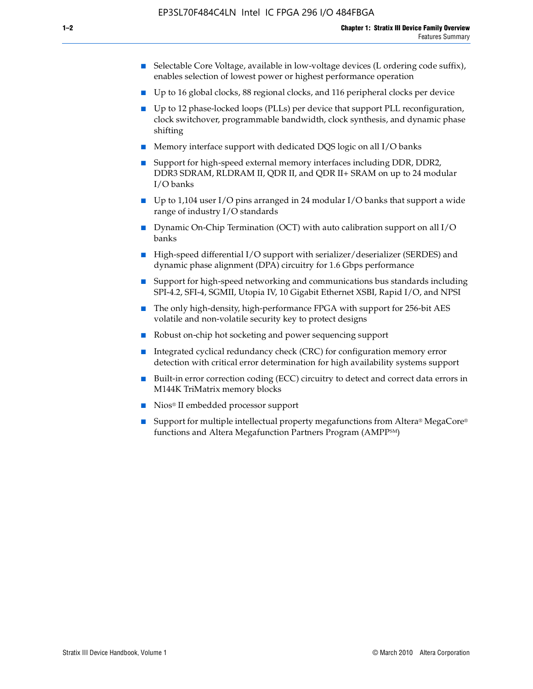- Selectable Core Voltage, available in low-voltage devices (L ordering code suffix), enables selection of lowest power or highest performance operation
- Up to 16 global clocks, 88 regional clocks, and 116 peripheral clocks per device
- Up to 12 phase-locked loops (PLLs) per device that support PLL reconfiguration, clock switchover, programmable bandwidth, clock synthesis, and dynamic phase shifting
- Memory interface support with dedicated DQS logic on all I/O banks
- Support for high-speed external memory interfaces including DDR, DDR2, DDR3 SDRAM, RLDRAM II, QDR II, and QDR II+ SRAM on up to 24 modular I/O banks
- Up to 1,104 user I/O pins arranged in 24 modular I/O banks that support a wide range of industry I/O standards
- Dynamic On-Chip Termination (OCT) with auto calibration support on all  $I/O$ banks
- High-speed differential I/O support with serializer/deserializer (SERDES) and dynamic phase alignment (DPA) circuitry for 1.6 Gbps performance
- Support for high-speed networking and communications bus standards including SPI-4.2, SFI-4, SGMII, Utopia IV, 10 Gigabit Ethernet XSBI, Rapid I/O, and NPSI
- The only high-density, high-performance FPGA with support for 256-bit AES volatile and non-volatile security key to protect designs
- Robust on-chip hot socketing and power sequencing support
- Integrated cyclical redundancy check (CRC) for configuration memory error detection with critical error determination for high availability systems support
- Built-in error correction coding (ECC) circuitry to detect and correct data errors in M144K TriMatrix memory blocks
- Nios<sup>®</sup> II embedded processor support
- Support for multiple intellectual property megafunctions from Altera® MegaCore® functions and Altera Megafunction Partners Program (AMPPSM)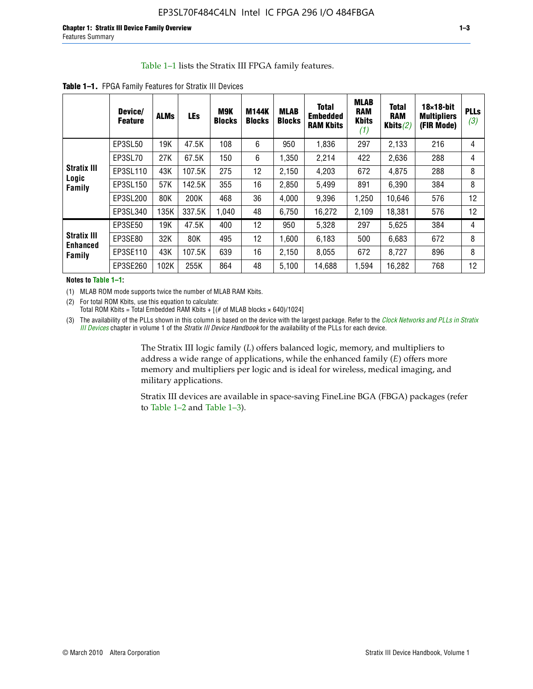#### Table 1–1 lists the Stratix III FPGA family features.

|                                       | Device/<br><b>Feature</b> | <b>ALMs</b> | <b>LEs</b> | M9K<br><b>Blocks</b> | <b>M144K</b><br><b>Blocks</b> | <b>MLAB</b><br><b>Blocks</b> | <b>Total</b><br>Embedded<br><b>RAM Kbits</b> | <b>MLAB</b><br><b>RAM</b><br><b>Kbits</b><br>(1) | <b>Total</b><br><b>RAM</b><br>Kbits $(2)$ | $18\times18$ -bit<br><b>Multipliers</b><br>(FIR Mode) | <b>PLLs</b><br>(3) |
|---------------------------------------|---------------------------|-------------|------------|----------------------|-------------------------------|------------------------------|----------------------------------------------|--------------------------------------------------|-------------------------------------------|-------------------------------------------------------|--------------------|
|                                       | EP3SL50                   | 19K         | 47.5K      | 108                  | 6                             | 950                          | 1,836                                        | 297                                              | 2,133                                     | 216                                                   | 4                  |
|                                       | EP3SL70                   | 27K         | 67.5K      | 150                  | 6                             | 1,350                        | 2,214                                        | 422                                              | 2,636                                     | 288                                                   | 4                  |
| <b>Stratix III</b>                    | EP3SL110                  | 43K         | 107.5K     | 275                  | 12                            | 2,150                        | 4,203                                        | 672                                              | 4,875                                     | 288                                                   | 8                  |
| Logic<br>Family                       | EP3SL150                  | 57K         | 142.5K     | 355                  | 16                            | 2,850                        | 5,499                                        | 891                                              | 6,390                                     | 384                                                   | 8                  |
|                                       | EP3SL200                  | 80K         | 200K       | 468                  | 36                            | 4,000                        | 9,396                                        | 1,250                                            | 10,646                                    | 576                                                   | 12                 |
|                                       | EP3SL340                  | 135K        | 337.5K     | 1,040                | 48                            | 6,750                        | 16,272                                       | 2,109                                            | 18,381                                    | 576                                                   | 12                 |
|                                       | EP3SE50                   | 19K         | 47.5K      | 400                  | 12                            | 950                          | 5,328                                        | 297                                              | 5,625                                     | 384                                                   | 4                  |
| <b>Stratix III</b><br><b>Enhanced</b> | EP3SE80                   | 32K         | 80K        | 495                  | 12                            | 1,600                        | 6,183                                        | 500                                              | 6,683                                     | 672                                                   | 8                  |
| Family                                | EP3SE110                  | 43K         | 107.5K     | 639                  | 16                            | 2,150                        | 8.055                                        | 672                                              | 8,727                                     | 896                                                   | 8                  |
|                                       | EP3SE260                  | 102K        | 255K       | 864                  | 48                            | 5,100                        | 14,688                                       | 1,594                                            | 16,282                                    | 768                                                   | 12                 |

**Table 1–1.** FPGA Family Features for Stratix III Devices

**Notes to Table 1–1:**

(1) MLAB ROM mode supports twice the number of MLAB RAM Kbits.

(2) For total ROM Kbits, use this equation to calculate: Total ROM Kbits = Total Embedded RAM Kbits +  $[(# of MLAB blocks × 640)/1024]$ 

(3) The availability of the PLLs shown in this column is based on the device with the largest package. Refer to the *[Clock Networks and PLLs in Stratix](http://www.altera.com/literature/hb/stx3/stx3_siii51006.pdf)  [III Devices](http://www.altera.com/literature/hb/stx3/stx3_siii51006.pdf)* chapter in volume 1 of the *Stratix III Device Handbook* for the availability of the PLLs for each device.

> The Stratix III logic family (*L*) offers balanced logic, memory, and multipliers to address a wide range of applications, while the enhanced family (*E*) offers more memory and multipliers per logic and is ideal for wireless, medical imaging, and military applications.

Stratix III devices are available in space-saving FineLine BGA (FBGA) packages (refer to Table 1–2 and Table 1–3).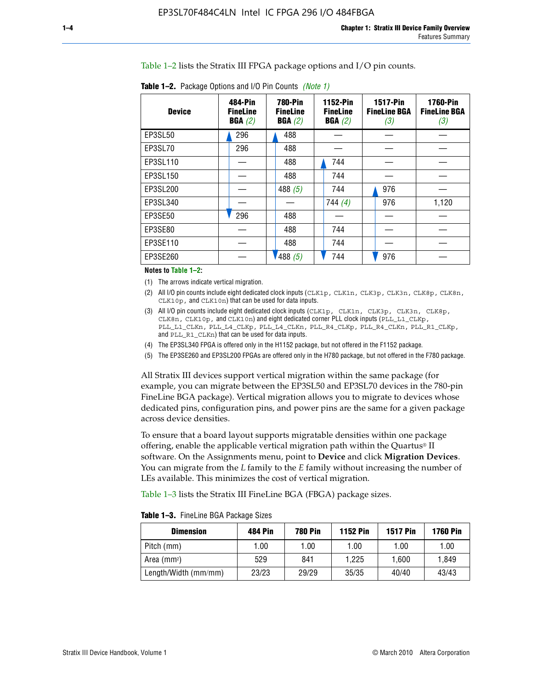Table 1–2 lists the Stratix III FPGA package options and I/O pin counts.

|  | <b>Table 1–2.</b> Package Options and I/O Pin Counts <i>(Note 1)</i> |             |          |  |
|--|----------------------------------------------------------------------|-------------|----------|--|
|  |                                                                      | $- - - - -$ | $\cdots$ |  |

| <b>Device</b> | 484-Pin<br><b>FineLine</b><br>BGA(2) | <b>780-Pin</b><br><b>FineLine</b><br>BGA(2) | <b>1152-Pin</b><br><b>FineLine</b><br>BGA(2) | <b>1517-Pin</b><br><b>FineLine BGA</b><br>(3) | <b>1760-Pin</b><br><b>FineLine BGA</b><br>(3) |
|---------------|--------------------------------------|---------------------------------------------|----------------------------------------------|-----------------------------------------------|-----------------------------------------------|
| EP3SL50       | 296                                  | 488                                         |                                              |                                               |                                               |
| EP3SL70       | 296                                  | 488                                         |                                              |                                               |                                               |
| EP3SL110      |                                      | 488                                         | 744                                          |                                               |                                               |
| EP3SL150      |                                      | 488                                         | 744                                          |                                               |                                               |
| EP3SL200      |                                      | 488 $(5)$                                   | 744                                          | 976                                           |                                               |
| EP3SL340      |                                      |                                             | 744(4)                                       | 976                                           | 1,120                                         |
| EP3SE50       | 296                                  | 488                                         |                                              |                                               |                                               |
| EP3SE80       |                                      | 488                                         | 744                                          |                                               |                                               |
| EP3SE110      |                                      | 488                                         | 744                                          |                                               |                                               |
| EP3SE260      |                                      | /488(5)                                     | 744                                          | 976                                           |                                               |

#### **Notes to Table 1–2:**

(1) The arrows indicate vertical migration.

- (2) All I/O pin counts include eight dedicated clock inputs (CLK1p, CLK1n, CLK3p, CLK3n, CLK8p, CLK8n, CLK10p, and CLK10n) that can be used for data inputs.
- (3) All I/O pin counts include eight dedicated clock inputs (CLK1p, CLK1n, CLK3p, CLK3n, CLK8p, CLK8n, CLK10p, and CLK10n) and eight dedicated corner PLL clock inputs (PLL\_L1\_CLKp, PLL\_L1\_CLKn, PLL\_L4\_CLKp, PLL\_L4\_CLKn, PLL\_R4\_CLKp, PLL\_R4\_CLKn, PLL\_R1\_CLKp, and PLL\_R1\_CLKn) that can be used for data inputs.
- (4) The EP3SL340 FPGA is offered only in the H1152 package, but not offered in the F1152 package.
- (5) The EP3SE260 and EP3SL200 FPGAs are offered only in the H780 package, but not offered in the F780 package.

All Stratix III devices support vertical migration within the same package (for example, you can migrate between the EP3SL50 and EP3SL70 devices in the 780-pin FineLine BGA package). Vertical migration allows you to migrate to devices whose dedicated pins, configuration pins, and power pins are the same for a given package across device densities.

To ensure that a board layout supports migratable densities within one package offering, enable the applicable vertical migration path within the Quartus® II software. On the Assignments menu, point to **Device** and click **Migration Devices**. You can migrate from the *L* family to the *E* family without increasing the number of LEs available. This minimizes the cost of vertical migration.

Table 1–3 lists the Stratix III FineLine BGA (FBGA) package sizes.

| <b>Table 1-3.</b> FineLine BGA Package Sizes |  |  |  |  |
|----------------------------------------------|--|--|--|--|
|----------------------------------------------|--|--|--|--|

| <b>Dimension</b>     | 484 Pin | 780 Pin | <b>1152 Pin</b> | <b>1517 Pin</b> | <b>1760 Pin</b> |
|----------------------|---------|---------|-----------------|-----------------|-----------------|
| Pitch (mm)           | 1.00    | 1.00    | 1.00            | 1.00            | 1.00            |
| Area $(mm^2)$        | 529     | 841     | 1.225           | 1.600           | 1.849           |
| Length/Width (mm/mm) | 23/23   | 29/29   | 35/35           | 40/40           | 43/43           |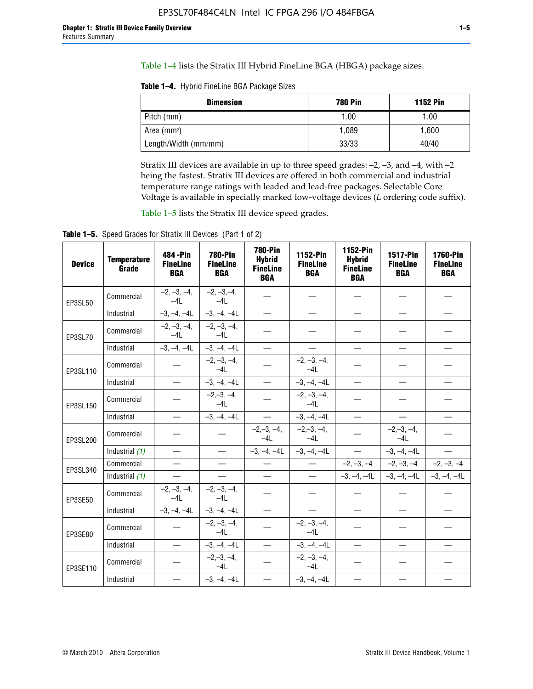Table 1–4 lists the Stratix III Hybrid FineLine BGA (HBGA) package sizes.

**Table 1–4.** Hybrid FineLine BGA Package Sizes

| <b>Dimension</b>     | <b>780 Pin</b> | <b>1152 Pin</b> |
|----------------------|----------------|-----------------|
| Pitch (mm)           | 1.00           | 1.00            |
| Area $(mm^2)$        | 1.089          | 1.600           |
| Length/Width (mm/mm) | 33/33          | 40/40           |

Stratix III devices are available in up to three speed grades: –2, –3, and –4, with –2 being the fastest. Stratix III devices are offered in both commercial and industrial temperature range ratings with leaded and lead-free packages. Selectable Core Voltage is available in specially marked low-voltage devices (*L* ordering code suffix).

Table 1–5 lists the Stratix III device speed grades.

Table 1-5. Speed Grades for Stratix III Devices (Part 1 of 2)

| <b>Device</b> | <b>Temperature</b><br>Grade | 484 - Pin<br><b>FineLine</b><br><b>BGA</b> | <b>780-Pin</b><br><b>FineLine</b><br><b>BGA</b> | <b>780-Pin</b><br><b>Hybrid</b><br><b>FineLine</b><br><b>BGA</b> | 1152-Pin<br><b>FineLine</b><br><b>BGA</b> | 1152-Pin<br><b>Hybrid</b><br><b>FineLine</b><br><b>BGA</b> | 1517-Pin<br><b>FineLine</b><br><b>BGA</b> | <b>1760-Pin</b><br><b>FineLine</b><br><b>BGA</b> |
|---------------|-----------------------------|--------------------------------------------|-------------------------------------------------|------------------------------------------------------------------|-------------------------------------------|------------------------------------------------------------|-------------------------------------------|--------------------------------------------------|
| EP3SL50       | Commercial                  | $-2, -3, -4,$<br>$-4L$                     | $-2, -3, -4,$<br>$-4L$                          |                                                                  |                                           |                                                            |                                           |                                                  |
|               | Industrial                  | $-3, -4, -4L$                              | $-3, -4, -4L$                                   | $\equiv$                                                         | $\equiv$                                  | $\overline{\phantom{0}}$                                   |                                           | $\overline{\phantom{0}}$                         |
| EP3SL70       | Commercial                  | $-2, -3, -4,$<br>$-4L$                     | $-2, -3, -4,$<br>$-41$                          |                                                                  |                                           |                                                            |                                           |                                                  |
|               | Industrial                  | $-3, -4, -4L$                              | $-3, -4, -4L$                                   | $\overbrace{\phantom{1232211}}$                                  |                                           | $\overline{\phantom{0}}$                                   | $\overline{\phantom{0}}$                  | $\overline{\phantom{0}}$                         |
| EP3SL110      | Commercial                  |                                            | $-2, -3, -4,$<br>$-4L$                          |                                                                  | $-2, -3, -4,$<br>$-4L$                    |                                                            |                                           |                                                  |
|               | Industrial                  | $\equiv$                                   | $-3, -4, -4L$                                   | $\frac{1}{1}$                                                    | $-3, -4, -4L$                             | $\frac{1}{2}$                                              |                                           | $\overline{\phantom{0}}$                         |
| EP3SL150      | Commercial                  |                                            | $-2, -3, -4,$<br>$-41$                          |                                                                  | $-2, -3, -4,$<br>$-41$                    |                                                            |                                           |                                                  |
|               | Industrial                  | $\overline{\phantom{m}}$                   | $-3, -4, -4L$                                   | $\equiv$                                                         | $-3, -4, -4L$                             | $\overline{\phantom{0}}$                                   | $\overline{\phantom{0}}$                  | $\overbrace{\phantom{12322111}}$                 |
| EP3SL200      | Commercial                  |                                            |                                                 | $-2, -3, -4,$<br>$-4L$                                           | $-2, -3, -4,$<br>$-4L$                    |                                                            | $-2,-3,-4,$<br>$-4L$                      |                                                  |
|               | Industrial (1)              | $\equiv$                                   | $\equiv$                                        | $-3, -4, -4L$                                                    | $-3, -4, -4L$                             | $\equiv$                                                   | $-3, -4, -4L$                             | $\equiv$                                         |
| EP3SL340      | Commercial                  |                                            | $\equiv$                                        |                                                                  | $\overline{\phantom{m}}$                  |                                                            | $-2, -3, -4$ $-2, -3, -4$                 | $-2, -3, -4$                                     |
|               | Industrial (1)              |                                            | $\equiv$                                        | $\qquad \qquad -$                                                | $\overline{\phantom{0}}$                  |                                                            | $-3, -4, -4$ $-3, -4, -4$                 | $-3, -4, -4L$                                    |
| EP3SE50       | Commercial                  | $-2, -3, -4,$<br>$-4L$                     | $-2, -3, -4,$<br>$-4L$                          |                                                                  |                                           |                                                            |                                           |                                                  |
|               | Industrial                  | $-3, -4, -4L$                              | $-3, -4, -4L$                                   |                                                                  | $\overline{\phantom{0}}$                  |                                                            | $\overline{\phantom{0}}$                  | $\overline{\phantom{0}}$                         |
| EP3SE80       | Commercial                  |                                            | $-2, -3, -4,$<br>$-41$                          |                                                                  | $-2, -3, -4,$<br>$-4L$                    |                                                            |                                           |                                                  |
|               | Industrial                  | $\overline{\phantom{m}}$                   | $-3, -4, -4L$                                   |                                                                  | $-3, -4, -4L$                             |                                                            | $\equiv$                                  |                                                  |
| EP3SE110      | Commercial                  |                                            | $-2, -3, -4,$<br>$-4L$                          |                                                                  | $-2, -3, -4,$<br>$-4L$                    |                                                            |                                           |                                                  |
|               | Industrial                  |                                            | $-3, -4, -4L$                                   | $\equiv$                                                         | $-3, -4, -4L$                             |                                                            |                                           |                                                  |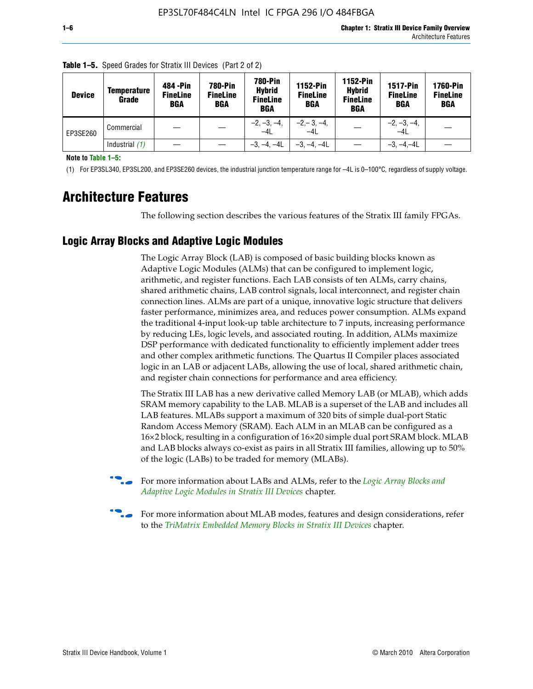| <b>Device</b> | <b>Temperature</b><br>Grade | 484 - Pin<br><b>FineLine</b><br><b>BGA</b> | <b>780-Pin</b><br><b>FineLine</b><br><b>BGA</b> | <b>780-Pin</b><br><b>Hybrid</b><br><b>FineLine</b><br><b>BGA</b> | 1152-Pin<br><b>FineLine</b><br>BGA | 1152-Pin<br><b>Hybrid</b><br><b>FineLine</b><br><b>BGA</b> | <b>1517-Pin</b><br><b>FineLine</b><br><b>BGA</b> | <b>1760-Pin</b><br><b>FineLine</b><br><b>BGA</b> |
|---------------|-----------------------------|--------------------------------------------|-------------------------------------------------|------------------------------------------------------------------|------------------------------------|------------------------------------------------------------|--------------------------------------------------|--------------------------------------------------|
| EP3SE260      | Commercial                  |                                            |                                                 | $-2, -3, -4,$<br>$-4L$                                           | $-2, -3, -4,$<br>$-4L$             |                                                            | $-2, -3, -4,$<br>$-4L$                           |                                                  |
|               | Industrial $(1)$            |                                            |                                                 | $-3, -4, -4L$                                                    | $-3, -4, -4L$                      |                                                            | $-3, -4, -4L$                                    |                                                  |

**Table 1–5.** Speed Grades for Stratix III Devices (Part 2 of 2)

**Note to Table 1–5:**

(1) For EP3SL340, EP3SL200, and EP3SE260 devices, the industrial junction temperature range for –4L is 0–100°C, regardless of supply voltage.

## **Architecture Features**

The following section describes the various features of the Stratix III family FPGAs.

#### **Logic Array Blocks and Adaptive Logic Modules**

The Logic Array Block (LAB) is composed of basic building blocks known as Adaptive Logic Modules (ALMs) that can be configured to implement logic, arithmetic, and register functions. Each LAB consists of ten ALMs, carry chains, shared arithmetic chains, LAB control signals, local interconnect, and register chain connection lines. ALMs are part of a unique, innovative logic structure that delivers faster performance, minimizes area, and reduces power consumption. ALMs expand the traditional 4-input look-up table architecture to 7 inputs, increasing performance by reducing LEs, logic levels, and associated routing. In addition, ALMs maximize DSP performance with dedicated functionality to efficiently implement adder trees and other complex arithmetic functions. The Quartus II Compiler places associated logic in an LAB or adjacent LABs, allowing the use of local, shared arithmetic chain, and register chain connections for performance and area efficiency.

The Stratix III LAB has a new derivative called Memory LAB (or MLAB), which adds SRAM memory capability to the LAB. MLAB is a superset of the LAB and includes all LAB features. MLABs support a maximum of 320 bits of simple dual-port Static Random Access Memory (SRAM). Each ALM in an MLAB can be configured as a 16×2 block, resulting in a configuration of 16×20 simple dual port SRAM block. MLAB and LAB blocks always co-exist as pairs in all Stratix III families, allowing up to 50% of the logic (LABs) to be traded for memory (MLABs).



f For more information about LABs and ALMs, refer to the *[Logic Array Blocks and](http://www.altera.com/literature/hb/stx3/stx3_siii51002.pdf)  [Adaptive Logic Modules in Stratix III Devices](http://www.altera.com/literature/hb/stx3/stx3_siii51002.pdf)* chapter.



For more information about MLAB modes, features and design considerations, refer to the *[TriMatrix Embedded Memory Blocks in Stratix III Devices](http://www.altera.com/literature/hb/stx3/stx3_siii51004.pdf)* chapter.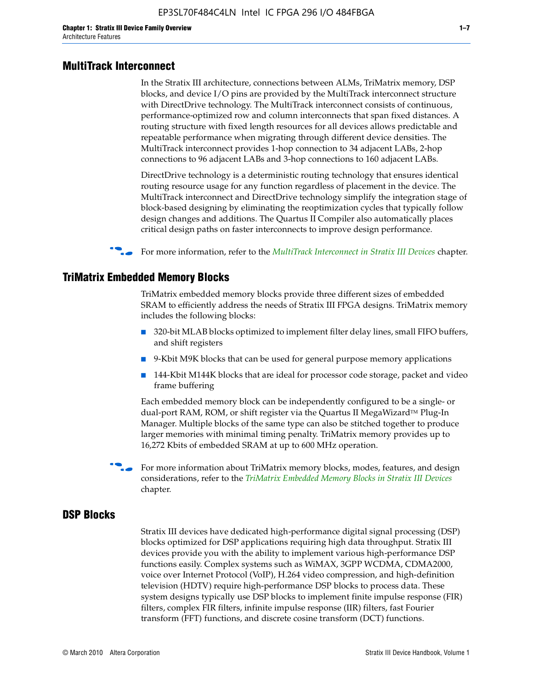#### **MultiTrack Interconnect**

In the Stratix III architecture, connections between ALMs, TriMatrix memory, DSP blocks, and device I/O pins are provided by the MultiTrack interconnect structure with DirectDrive technology. The MultiTrack interconnect consists of continuous, performance-optimized row and column interconnects that span fixed distances. A routing structure with fixed length resources for all devices allows predictable and repeatable performance when migrating through different device densities. The MultiTrack interconnect provides 1-hop connection to 34 adjacent LABs, 2-hop connections to 96 adjacent LABs and 3-hop connections to 160 adjacent LABs.

DirectDrive technology is a deterministic routing technology that ensures identical routing resource usage for any function regardless of placement in the device. The MultiTrack interconnect and DirectDrive technology simplify the integration stage of block-based designing by eliminating the reoptimization cycles that typically follow design changes and additions. The Quartus II Compiler also automatically places critical design paths on faster interconnects to improve design performance.

f For more information, refer to the *[MultiTrack Interconnect in Stratix III Devices](http://www.altera.com/literature/hb/stx3/stx3_siii51003.pdf)* chapter.

#### **TriMatrix Embedded Memory Blocks**

TriMatrix embedded memory blocks provide three different sizes of embedded SRAM to efficiently address the needs of Stratix III FPGA designs. TriMatrix memory includes the following blocks:

- 320-bit MLAB blocks optimized to implement filter delay lines, small FIFO buffers, and shift registers
- 9-Kbit M9K blocks that can be used for general purpose memory applications
- 144-Kbit M144K blocks that are ideal for processor code storage, packet and video frame buffering

Each embedded memory block can be independently configured to be a single- or dual-port RAM, ROM, or shift register via the Quartus II MegaWizard™ Plug-In Manager. Multiple blocks of the same type can also be stitched together to produce larger memories with minimal timing penalty. TriMatrix memory provides up to 16,272 Kbits of embedded SRAM at up to 600 MHz operation.

For more information about TriMatrix memory blocks, modes, features, and design considerations, refer to the *[TriMatrix Embedded Memory Blocks in Stratix III Devices](http://www.altera.com/literature/hb/stx3/stx3_siii51004.pdf)* chapter.

#### **DSP Blocks**

Stratix III devices have dedicated high-performance digital signal processing (DSP) blocks optimized for DSP applications requiring high data throughput. Stratix III devices provide you with the ability to implement various high-performance DSP functions easily. Complex systems such as WiMAX, 3GPP WCDMA, CDMA2000, voice over Internet Protocol (VoIP), H.264 video compression, and high-definition television (HDTV) require high-performance DSP blocks to process data. These system designs typically use DSP blocks to implement finite impulse response (FIR) filters, complex FIR filters, infinite impulse response (IIR) filters, fast Fourier transform (FFT) functions, and discrete cosine transform (DCT) functions.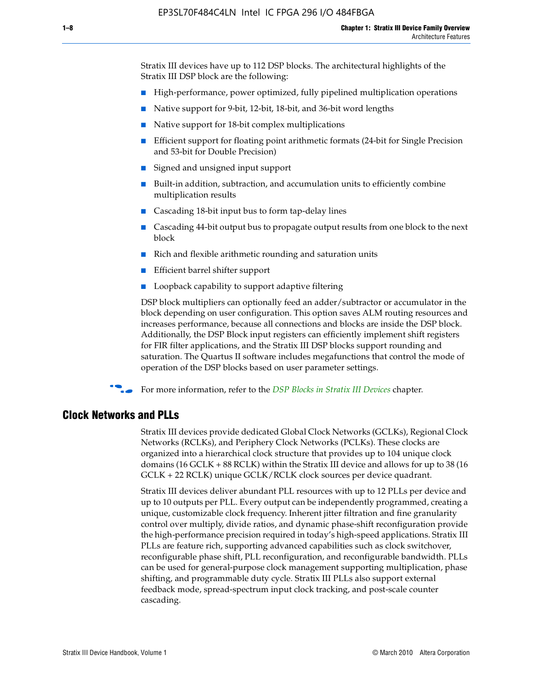Stratix III devices have up to 112 DSP blocks. The architectural highlights of the Stratix III DSP block are the following:

- High-performance, power optimized, fully pipelined multiplication operations
- Native support for 9-bit, 12-bit, 18-bit, and 36-bit word lengths
- Native support for 18-bit complex multiplications
- Efficient support for floating point arithmetic formats (24-bit for Single Precision and 53-bit for Double Precision)
- Signed and unsigned input support
- Built-in addition, subtraction, and accumulation units to efficiently combine multiplication results
- Cascading 18-bit input bus to form tap-delay lines
- Cascading 44-bit output bus to propagate output results from one block to the next block
- Rich and flexible arithmetic rounding and saturation units
- Efficient barrel shifter support
- Loopback capability to support adaptive filtering

DSP block multipliers can optionally feed an adder/subtractor or accumulator in the block depending on user configuration. This option saves ALM routing resources and increases performance, because all connections and blocks are inside the DSP block. Additionally, the DSP Block input registers can efficiently implement shift registers for FIR filter applications, and the Stratix III DSP blocks support rounding and saturation. The Quartus II software includes megafunctions that control the mode of operation of the DSP blocks based on user parameter settings.

f For more information, refer to the *[DSP Blocks in Stratix III Devices](http://www.altera.com/literature/hb/stx3/stx3_siii51005.pdf)* chapter.

#### **Clock Networks and PLLs**

Stratix III devices provide dedicated Global Clock Networks (GCLKs), Regional Clock Networks (RCLKs), and Periphery Clock Networks (PCLKs). These clocks are organized into a hierarchical clock structure that provides up to 104 unique clock domains (16 GCLK + 88 RCLK) within the Stratix III device and allows for up to 38 (16 GCLK + 22 RCLK) unique GCLK/RCLK clock sources per device quadrant.

Stratix III devices deliver abundant PLL resources with up to 12 PLLs per device and up to 10 outputs per PLL. Every output can be independently programmed, creating a unique, customizable clock frequency. Inherent jitter filtration and fine granularity control over multiply, divide ratios, and dynamic phase-shift reconfiguration provide the high-performance precision required in today's high-speed applications. Stratix III PLLs are feature rich, supporting advanced capabilities such as clock switchover, reconfigurable phase shift, PLL reconfiguration, and reconfigurable bandwidth. PLLs can be used for general-purpose clock management supporting multiplication, phase shifting, and programmable duty cycle. Stratix III PLLs also support external feedback mode, spread-spectrum input clock tracking, and post-scale counter cascading.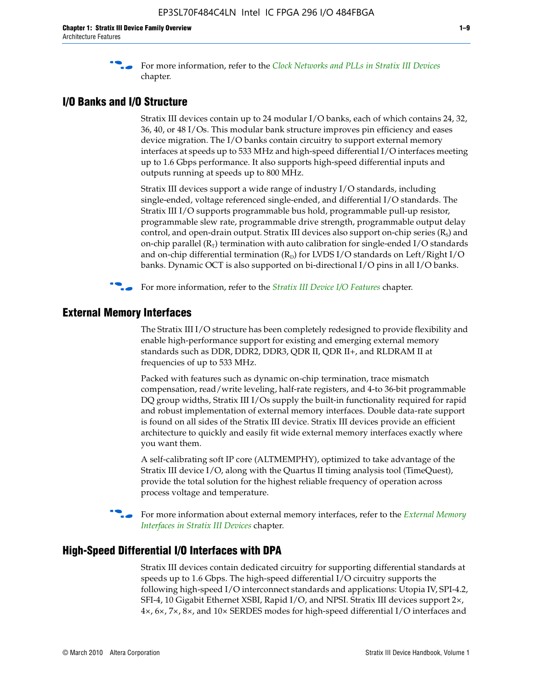f For more information, refer to the *[Clock Networks and PLLs in Stratix III Devices](http://www.altera.com/literature/hb/stx3/stx3_siii51006.pdf)* chapter.

#### **I/O Banks and I/O Structure**

Stratix III devices contain up to 24 modular I/O banks, each of which contains 24, 32, 36, 40, or 48 I/Os. This modular bank structure improves pin efficiency and eases device migration. The I/O banks contain circuitry to support external memory interfaces at speeds up to 533 MHz and high-speed differential I/O interfaces meeting up to 1.6 Gbps performance. It also supports high-speed differential inputs and outputs running at speeds up to 800 MHz.

Stratix III devices support a wide range of industry I/O standards, including single-ended, voltage referenced single-ended, and differential I/O standards. The Stratix III I/O supports programmable bus hold, programmable pull-up resistor, programmable slew rate, programmable drive strength, programmable output delay control, and open-drain output. Stratix III devices also support on-chip series  $(R<sub>s</sub>)$  and on-chip parallel  $(R_T)$  termination with auto calibration for single-ended I/O standards and on-chip differential termination  $(R_D)$  for LVDS I/O standards on Left/Right I/O banks. Dynamic OCT is also supported on bi-directional I/O pins in all I/O banks.

**For more information, refer to the** *[Stratix III Device I/O Features](http://www.altera.com/literature/hb/stx3/stx3_siii51007.pdf)* **chapter.** 

#### **External Memory Interfaces**

The Stratix III I/O structure has been completely redesigned to provide flexibility and enable high-performance support for existing and emerging external memory standards such as DDR, DDR2, DDR3, QDR II, QDR II+, and RLDRAM II at frequencies of up to 533 MHz.

Packed with features such as dynamic on-chip termination, trace mismatch compensation, read/write leveling, half-rate registers, and 4-to 36-bit programmable DQ group widths, Stratix III I/Os supply the built-in functionality required for rapid and robust implementation of external memory interfaces. Double data-rate support is found on all sides of the Stratix III device. Stratix III devices provide an efficient architecture to quickly and easily fit wide external memory interfaces exactly where you want them.

A self-calibrating soft IP core (ALTMEMPHY), optimized to take advantage of the Stratix III device I/O, along with the Quartus II timing analysis tool (TimeQuest), provide the total solution for the highest reliable frequency of operation across process voltage and temperature.

f For more information about external memory interfaces, refer to the *[External Memory](http://www.altera.com/literature/hb/stx3/stx3_siii51008.pdf)  [Interfaces in Stratix III Devices](http://www.altera.com/literature/hb/stx3/stx3_siii51008.pdf)* chapter.

#### **High-Speed Differential I/O Interfaces with DPA**

Stratix III devices contain dedicated circuitry for supporting differential standards at speeds up to 1.6 Gbps. The high-speed differential I/O circuitry supports the following high-speed I/O interconnect standards and applications: Utopia IV, SPI-4.2, SFI-4, 10 Gigabit Ethernet XSBI, Rapid I/O, and NPSI. Stratix III devices support 2×, 4×, 6×, 7×, 8×, and 10× SERDES modes for high-speed differential I/O interfaces and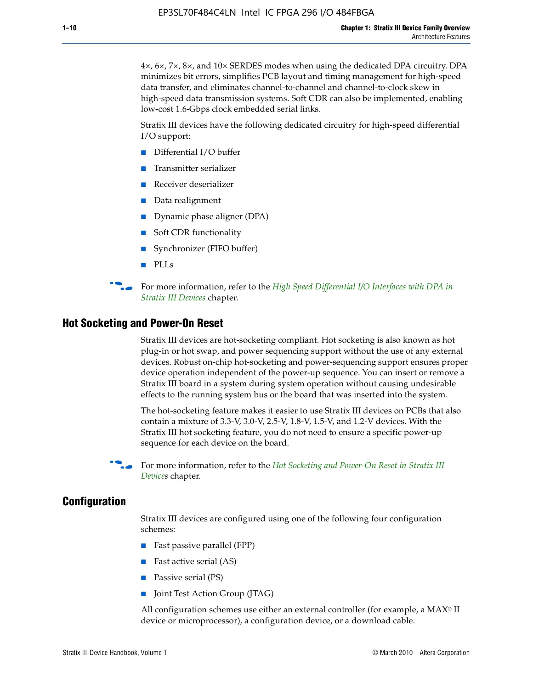4×, 6×, 7×, 8×, and 10× SERDES modes when using the dedicated DPA circuitry. DPA minimizes bit errors, simplifies PCB layout and timing management for high-speed data transfer, and eliminates channel-to-channel and channel-to-clock skew in high-speed data transmission systems. Soft CDR can also be implemented, enabling low-cost 1.6-Gbps clock embedded serial links.

Stratix III devices have the following dedicated circuitry for high-speed differential I/O support:

- Differential I/O buffer
- Transmitter serializer
- Receiver deserializer
- Data realignment
- Dynamic phase aligner (DPA)
- Soft CDR functionality
- Synchronizer (FIFO buffer)
- PLLs

**for more information, refer to the** *High Speed Differential I/O Interfaces with DPA in [Stratix III Devices](http://www.altera.com/literature/hb/stx3/stx3_siii51009.pdf)* chapter.

#### **Hot Socketing and Power-On Reset**

Stratix III devices are hot-socketing compliant. Hot socketing is also known as hot plug-in or hot swap, and power sequencing support without the use of any external devices. Robust on-chip hot-socketing and power-sequencing support ensures proper device operation independent of the power-up sequence. You can insert or remove a Stratix III board in a system during system operation without causing undesirable effects to the running system bus or the board that was inserted into the system.

The hot-socketing feature makes it easier to use Stratix III devices on PCBs that also contain a mixture of 3.3-V, 3.0-V, 2.5-V, 1.8-V, 1.5-V, and 1.2-V devices. With the Stratix III hot socketing feature, you do not need to ensure a specific power-up sequence for each device on the board.

f For more information, refer to the *[Hot Socketing and Power-On Reset in Stratix III](http://www.altera.com/literature/hb/stx3/stx3_siii51010.pdf)  [Device](http://www.altera.com/literature/hb/stx3/stx3_siii51010.pdf)s* chapter.

#### **Configuration**

Stratix III devices are configured using one of the following four configuration schemes:

- Fast passive parallel (FPP)
- Fast active serial (AS)
- Passive serial (PS)
- Joint Test Action Group (JTAG)

All configuration schemes use either an external controller (for example, a  $MAX<sup>®</sup>$  II device or microprocessor), a configuration device, or a download cable.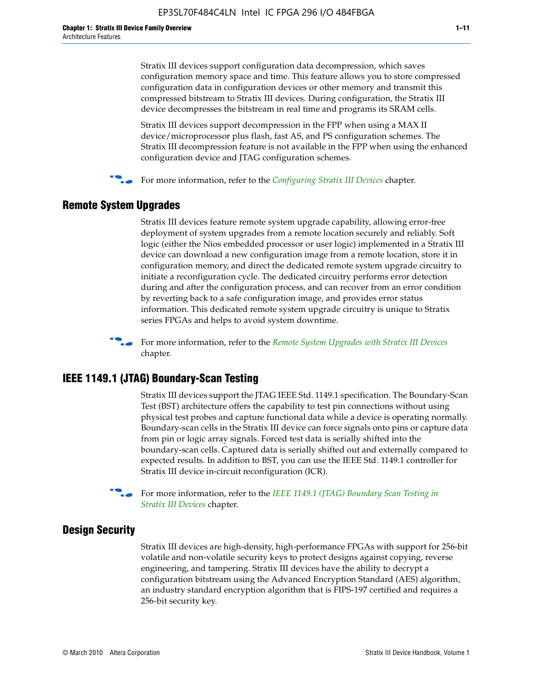Stratix III devices support configuration data decompression, which saves configuration memory space and time. This feature allows you to store compressed configuration data in configuration devices or other memory and transmit this compressed bitstream to Stratix III devices. During configuration, the Stratix III device decompresses the bitstream in real time and programs its SRAM cells.

Stratix III devices support decompression in the FPP when using a MAX II device/microprocessor plus flash, fast AS, and PS configuration schemes. The Stratix III decompression feature is not available in the FPP when using the enhanced configuration device and JTAG configuration schemes.

For more information, refer to the *[Configuring Stratix III Devices](http://www.altera.com/literature/hb/stx3/stx3_siii51011.pdf)* chapter.

#### **Remote System Upgrades**

Stratix III devices feature remote system upgrade capability, allowing error-free deployment of system upgrades from a remote location securely and reliably. Soft logic (either the Nios embedded processor or user logic) implemented in a Stratix III device can download a new configuration image from a remote location, store it in configuration memory, and direct the dedicated remote system upgrade circuitry to initiate a reconfiguration cycle. The dedicated circuitry performs error detection during and after the configuration process, and can recover from an error condition by reverting back to a safe configuration image, and provides error status information. This dedicated remote system upgrade circuitry is unique to Stratix series FPGAs and helps to avoid system downtime.



**For more information, refer to the** *[Remote System Upgrades with Stratix III Devices](http://www.altera.com/literature/hb/stx3/stx3_siii51012.pdf)* chapter.

#### **IEEE 1149.1 (JTAG) Boundary-Scan Testing**

Stratix III devices support the JTAG IEEE Std. 1149.1 specification. The Boundary-Scan Test (BST) architecture offers the capability to test pin connections without using physical test probes and capture functional data while a device is operating normally. Boundary-scan cells in the Stratix III device can force signals onto pins or capture data from pin or logic array signals. Forced test data is serially shifted into the boundary-scan cells. Captured data is serially shifted out and externally compared to expected results. In addition to BST, you can use the IEEE Std. 1149.1 controller for Stratix III device in-circuit reconfiguration (ICR).

For more information, refer to the *IEEE 1149.1 (JTAG) Boundary Scan Testing in [Stratix III Devices](http://www.altera.com/literature/hb/stx3/stx3_siii51013.pdf)* chapter.

#### **Design Security**

Stratix III devices are high-density, high-performance FPGAs with support for 256-bit volatile and non-volatile security keys to protect designs against copying, reverse engineering, and tampering. Stratix III devices have the ability to decrypt a configuration bitstream using the Advanced Encryption Standard (AES) algorithm, an industry standard encryption algorithm that is FIPS-197 certified and requires a 256-bit security key.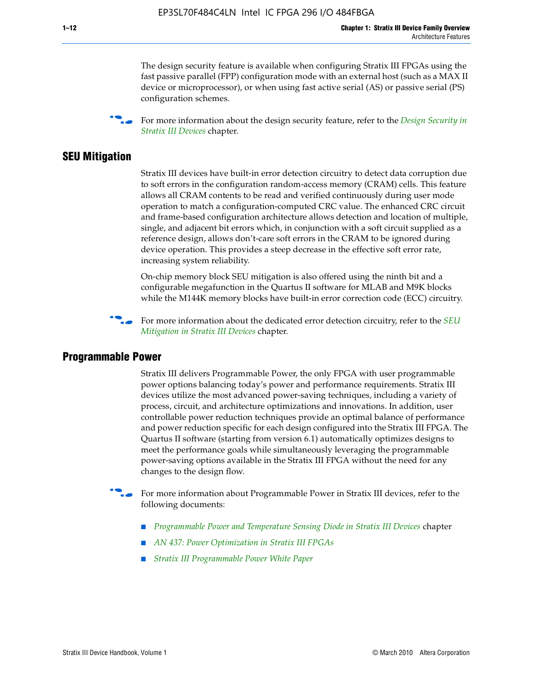The design security feature is available when configuring Stratix III FPGAs using the fast passive parallel (FPP) configuration mode with an external host (such as a MAX II device or microprocessor), or when using fast active serial (AS) or passive serial (PS) configuration schemes.

f For more information about the design security feature, refer to the *[Design Security in](http://www.altera.com/literature/hb/stx3/stx3_siii51014.pdf)  [Stratix III Devices](http://www.altera.com/literature/hb/stx3/stx3_siii51014.pdf)* chapter.

#### **SEU Mitigation**

Stratix III devices have built-in error detection circuitry to detect data corruption due to soft errors in the configuration random-access memory (CRAM) cells. This feature allows all CRAM contents to be read and verified continuously during user mode operation to match a configuration-computed CRC value. The enhanced CRC circuit and frame-based configuration architecture allows detection and location of multiple, single, and adjacent bit errors which, in conjunction with a soft circuit supplied as a reference design, allows don't-care soft errors in the CRAM to be ignored during device operation. This provides a steep decrease in the effective soft error rate, increasing system reliability.

On-chip memory block SEU mitigation is also offered using the ninth bit and a configurable megafunction in the Quartus II software for MLAB and M9K blocks while the M144K memory blocks have built-in error correction code (ECC) circuitry.

For more information about the dedicated error detection circuitry, refer to the *SEU [Mitigation in Stratix III Devices](http://www.altera.com/literature/hb/stx3/stx3_siii51015.pdf)* chapter.

#### **Programmable Power**

Stratix III delivers Programmable Power, the only FPGA with user programmable power options balancing today's power and performance requirements. Stratix III devices utilize the most advanced power-saving techniques, including a variety of process, circuit, and architecture optimizations and innovations. In addition, user controllable power reduction techniques provide an optimal balance of performance and power reduction specific for each design configured into the Stratix III FPGA. The Quartus II software (starting from version 6.1) automatically optimizes designs to meet the performance goals while simultaneously leveraging the programmable power-saving options available in the Stratix III FPGA without the need for any changes to the design flow.

For more information about Programmable Power in Stratix III devices, refer to the following documents:

- *[Programmable Power and Temperature Sensing Diode in Stratix III Devices](http://www.altera.com/literature/hb/stx3/stx3_siii51016.pdf)* chapter
- *[AN 437: Power Optimization in Stratix III FPGAs](http://www.altera.com/literature/an/AN437.pdf)*
- *[Stratix III Programmable Power White Paper](http://www.altera.com/literature/wp/wp-01006.pdf)*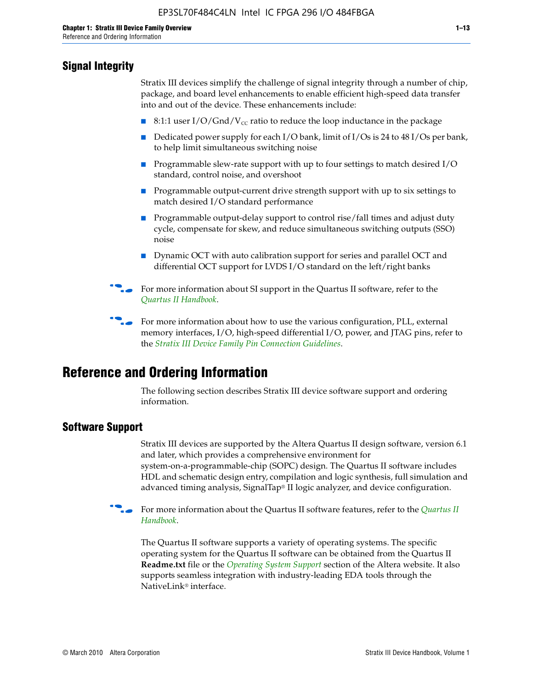#### **Signal Integrity**

Stratix III devices simplify the challenge of signal integrity through a number of chip, package, and board level enhancements to enable efficient high-speed data transfer into and out of the device. These enhancements include:

- 8:1:1 user I/O/Gnd/V<sub>cc</sub> ratio to reduce the loop inductance in the package
- Dedicated power supply for each I/O bank, limit of I/Os is 24 to 48 I/Os per bank, to help limit simultaneous switching noise
- Programmable slew-rate support with up to four settings to match desired I/O standard, control noise, and overshoot
- Programmable output-current drive strength support with up to six settings to match desired I/O standard performance
- Programmable output-delay support to control rise/fall times and adjust duty cycle, compensate for skew, and reduce simultaneous switching outputs (SSO) noise
- Dynamic OCT with auto calibration support for series and parallel OCT and differential OCT support for LVDS I/O standard on the left/right banks
- For mor[e](http://www.altera.com/literature/hb/qts/quartusii_handbook.pdf) information about SI support in the Quartus II software, refer to the *[Quartus II Handbook](http://www.altera.com/literature/hb/qts/quartusii_handbook.pdf)*.

For more information about how to use the various configuration, PLL, external memory interfaces, I/O, high-speed differential I/O, power, and JTAG pins, refer to the *[Stratix III Device Family Pin Connection Guidelines](http://www.altera.com/literature/dp/stx3/PCG-01004.pdf)*.

## **Reference and Ordering Information**

The following section describes Stratix III device software support and ordering information.

#### **Software Support**

Stratix III devices are supported by the Altera Quartus II design software, version 6.1 and later, which provides a comprehensive environment for system-on-a-programmable-chip (SOPC) design. The Quartus II software includes HDL and schematic design entry, compilation and logic synthesis, full simulation and advanced timing analysis, SignalTap® II logic analyzer, and device configuration.

**for more information about the [Quartus II](http://www.altera.com/literature/hb/qts/quartusii_handbook.pdf) software features, refer to the** *Quartus II* **<b>For all 2** *[Handbook](http://www.altera.com/literature/hb/qts/quartusii_handbook.pdf)*.

The Quartus II software supports a variety of operating systems. The specific operating system for the Quartus II software can be obtained from the Quartus II **Readme.txt** file or the *[Operating System Support](http://www.altera.com/support/software/os_support/oss-index.html)* section of the Altera website. It also supports seamless integration with industry-leading EDA tools through the NativeLink® interface.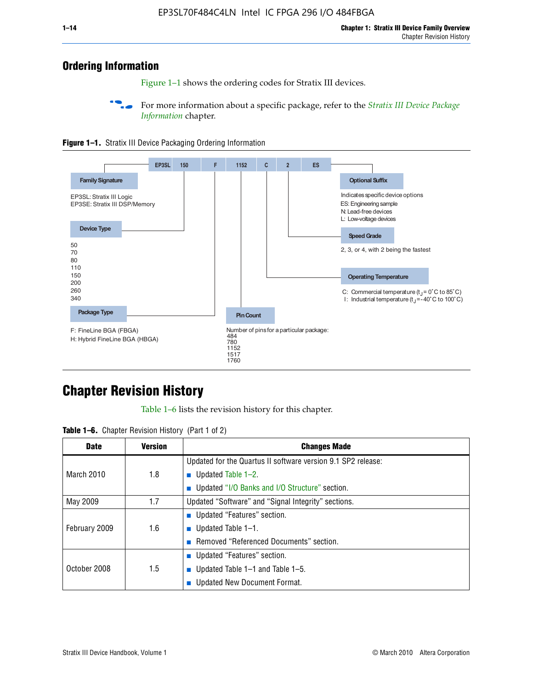#### **Ordering Information**

Figure 1–1 shows the ordering codes for Stratix III devices.

For more information about a specific package, refer to the *Stratix III Device Package [Information](http://www.altera.com/literature/hb/stx3/stx3_siii51017.pdf)* chapter.





## **[C](http://www.altera.com/literature/hb/stx3/stx3_siii51012.pdf)hapter Revision History**

Table 1–6 lists the revision history for this chapter.

| <b>Table 1–6.</b> Chapter Revision History (Part 1 of 2) |  |  |  |  |  |
|----------------------------------------------------------|--|--|--|--|--|
|----------------------------------------------------------|--|--|--|--|--|

| <b>Date</b>       | <b>Version</b> | <b>Changes Made</b>                                          |
|-------------------|----------------|--------------------------------------------------------------|
|                   |                | Updated for the Quartus II software version 9.1 SP2 release: |
| <b>March 2010</b> | 1.8            | <b>u</b> Updated Table $1-2$ .                               |
|                   |                | ■ Updated "I/O Banks and I/O Structure" section.             |
| May 2009          | 1.7            | Updated "Software" and "Signal Integrity" sections.          |
|                   |                | ■ Updated "Features" section.                                |
| February 2009     | 1.6            | <b>u</b> Updated Table $1-1$ .                               |
|                   |                | Removed "Referenced Documents" section.                      |
|                   |                | ■ Updated "Features" section.                                |
| October 2008      | 1.5            | ■ Updated Table $1-1$ and Table $1-5$ .                      |
|                   |                | Updated New Document Format.                                 |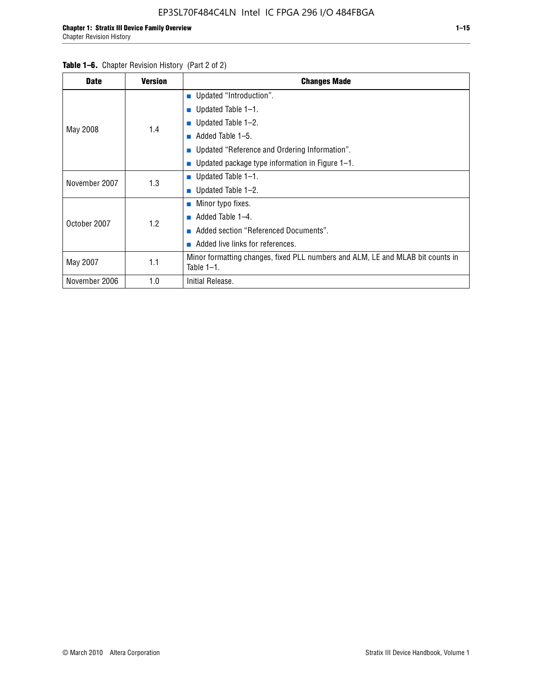| <b>Date</b>   | <b>Version</b> | <b>Changes Made</b>                                                                             |
|---------------|----------------|-------------------------------------------------------------------------------------------------|
|               |                | <b>Updated "Introduction".</b>                                                                  |
|               |                | $\blacksquare$ Updated Table 1-1.                                                               |
|               | 1.4            | <b>Updated Table 1–2.</b>                                                                       |
| May 2008      |                | Added Table 1–5.<br>a.                                                                          |
|               |                | ■ Updated "Reference and Ordering Information".                                                 |
|               |                | Updated package type information in Figure 1-1.                                                 |
| November 2007 | 1.3            | $\blacksquare$ Updated Table 1-1.                                                               |
|               |                | ■ Updated Table $1-2$ .                                                                         |
|               |                | Minor typo fixes.<br>$\sim$                                                                     |
| October 2007  | 1.2            | Added Table 1-4.<br><b>COL</b>                                                                  |
|               |                | Added section "Referenced Documents".                                                           |
|               |                | Added live links for references.                                                                |
| May 2007      | 1.1            | Minor formatting changes, fixed PLL numbers and ALM, LE and MLAB bit counts in<br>Table $1-1$ . |
| November 2006 | 1.0            | Initial Release.                                                                                |